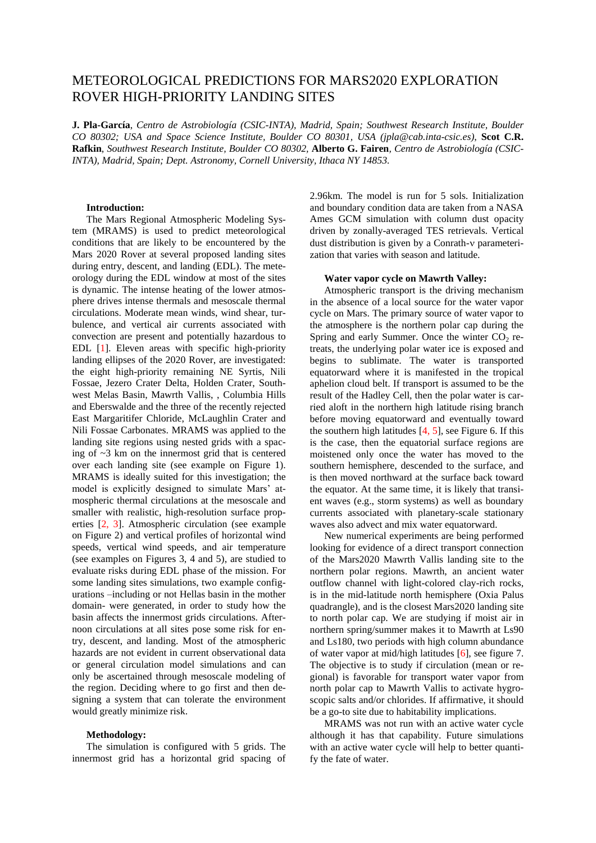# METEOROLOGICAL PREDICTIONS FOR MARS2020 EXPLORATION ROVER HIGH-PRIORITY LANDING SITES

**J. Pla-García**, *Centro de Astrobiología (CSIC-INTA), Madrid, Spain; Southwest Research Institute, Boulder CO 80302; USA and Space Science Institute, Boulder CO 80301, USA (jpla@cab.inta-csic.es)*, **Scot C.R. Rafkin**, *Southwest Research Institute, Boulder CO 80302,* **Alberto G. Fairen***, Centro de Astrobiología (CSIC-INTA), Madrid, Spain; Dept. Astronomy, Cornell University, Ithaca NY 14853.*

#### **Introduction:**

The Mars Regional Atmospheric Modeling System (MRAMS) is used to predict meteorological conditions that are likely to be encountered by the Mars 2020 Rover at several proposed landing sites during entry, descent, and landing (EDL). The meteorology during the EDL window at most of the sites is dynamic. The intense heating of the lower atmosphere drives intense thermals and mesoscale thermal circulations. Moderate mean winds, wind shear, turbulence, and vertical air currents associated with convection are present and potentially hazardous to EDL [1]. Eleven areas with specific high-priority landing ellipses of the 2020 Rover, are investigated: the eight high-priority remaining NE Syrtis, Nili Fossae, Jezero Crater Delta, Holden Crater, Southwest Melas Basin, Mawrth Vallis, , Columbia Hills and Eberswalde and the three of the recently rejected East Margaritifer Chloride, McLaughlin Crater and Nili Fossae Carbonates. MRAMS was applied to the landing site regions using nested grids with a spacing of ~3 km on the innermost grid that is centered over each landing site (see example on Figure 1). MRAMS is ideally suited for this investigation; the model is explicitly designed to simulate Mars' atmospheric thermal circulations at the mesoscale and smaller with realistic, high-resolution surface properties [2, 3]. Atmospheric circulation (see example on Figure 2) and vertical profiles of horizontal wind speeds, vertical wind speeds, and air temperature (see examples on Figures 3, 4 and 5), are studied to evaluate risks during EDL phase of the mission. For some landing sites simulations, two example configurations –including or not Hellas basin in the mother domain- were generated, in order to study how the basin affects the innermost grids circulations. Afternoon circulations at all sites pose some risk for entry, descent, and landing. Most of the atmospheric hazards are not evident in current observational data or general circulation model simulations and can only be ascertained through mesoscale modeling of the region. Deciding where to go first and then designing a system that can tolerate the environment would greatly minimize risk.

#### **Methodology:**

The simulation is configured with 5 grids. The innermost grid has a horizontal grid spacing of 2.96km. The model is run for 5 sols. Initialization and boundary condition data are taken from a NASA Ames GCM simulation with column dust opacity driven by zonally-averaged TES retrievals. Vertical dust distribution is given by a Conrath-v parameterization that varies with season and latitude.

## **Water vapor cycle on Mawrth Valley:**

Atmospheric transport is the driving mechanism in the absence of a local source for the water vapor cycle on Mars. The primary source of water vapor to the atmosphere is the northern polar cap during the Spring and early Summer. Once the winter  $CO<sub>2</sub>$  retreats, the underlying polar water ice is exposed and begins to sublimate. The water is transported equatorward where it is manifested in the tropical aphelion cloud belt. If transport is assumed to be the result of the Hadley Cell, then the polar water is carried aloft in the northern high latitude rising branch before moving equatorward and eventually toward the southern high latitudes  $[4, 5]$ , see Figure 6. If this is the case, then the equatorial surface regions are moistened only once the water has moved to the southern hemisphere, descended to the surface, and is then moved northward at the surface back toward the equator. At the same time, it is likely that transient waves (e.g., storm systems) as well as boundary currents associated with planetary-scale stationary waves also advect and mix water equatorward.

New numerical experiments are being performed looking for evidence of a direct transport connection of the Mars2020 Mawrth Vallis landing site to the northern polar regions. Mawrth, an ancient water outflow channel with light-colored clay-rich rocks, is in the mid-latitude north hemisphere (Oxia Palus quadrangle), and is the closest Mars2020 landing site to north polar cap. We are studying if moist air in northern spring/summer makes it to Mawrth at Ls90 and Ls180, two periods with high column abundance of water vapor at mid/high latitudes [6], see figure 7. The objective is to study if circulation (mean or regional) is favorable for transport water vapor from north polar cap to Mawrth Vallis to activate hygroscopic salts and/or chlorides. If affirmative, it should be a go-to site due to habitability implications.

MRAMS was not run with an active water cycle although it has that capability. Future simulations with an active water cycle will help to better quantify the fate of water.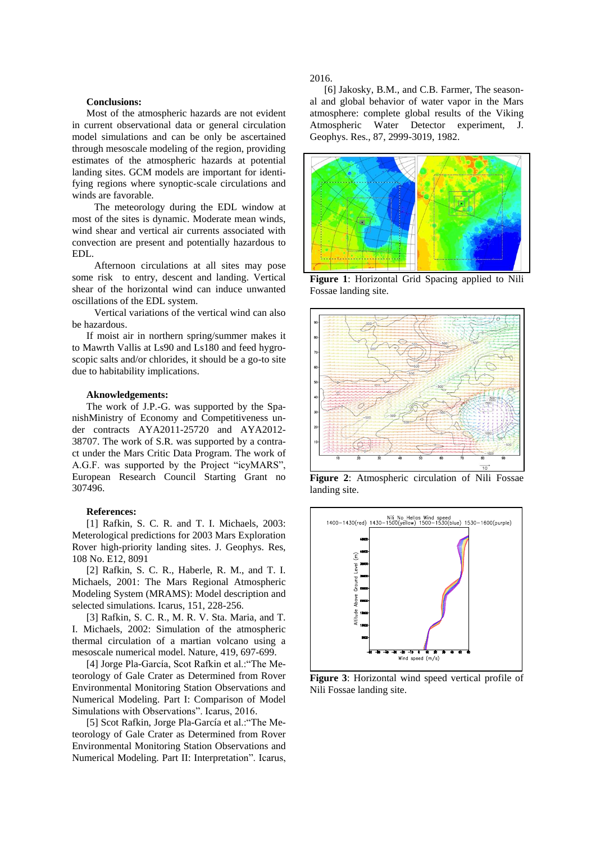## **Conclusions:**

Most of the atmospheric hazards are not evident in current observational data or general circulation model simulations and can be only be ascertained through mesoscale modeling of the region, providing estimates of the atmospheric hazards at potential landing sites. GCM models are important for identifying regions where synoptic-scale circulations and winds are favorable.

The meteorology during the EDL window at most of the sites is dynamic. Moderate mean winds, wind shear and vertical air currents associated with convection are present and potentially hazardous to EDL.

Afternoon circulations at all sites may pose some risk to entry, descent and landing. Vertical shear of the horizontal wind can induce unwanted oscillations of the EDL system.

Vertical variations of the vertical wind can also be hazardous.

If moist air in northern spring/summer makes it to Mawrth Vallis at Ls90 and Ls180 and feed hygroscopic salts and/or chlorides, it should be a go-to site due to habitability implications.

#### **Aknowledgements:**

The work of J.P.-G. was supported by the SpanishMinistry of Economy and Competitiveness under contracts AYA2011-25720 and AYA2012- 38707. The work of S.R. was supported by a contract under the Mars Critic Data Program. The work of A.G.F. was supported by the Project "icyMARS", European Research Council Starting Grant no 307496.

## **References:**

[1] Rafkin, S. C. R. and T. I. Michaels, 2003: Meterological predictions for 2003 Mars Exploration Rover high-priority landing sites. J. Geophys. Res, 108 No. E12, 8091

[2] Rafkin, S. C. R., Haberle, R. M., and T. I. Michaels, 2001: The Mars Regional Atmospheric Modeling System (MRAMS): Model description and selected simulations. Icarus, 151, 228-256.

[3] Rafkin, S. C. R., M. R. V. Sta. Maria, and T. I. Michaels, 2002: Simulation of the atmospheric thermal circulation of a martian volcano using a mesoscale numerical model. Nature, 419, 697-699.

[4] Jorge Pla-García, Scot Rafkin et al.:"The Meteorology of Gale Crater as Determined from Rover Environmental Monitoring Station Observations and Numerical Modeling. Part I: Comparison of Model Simulations with Observations". Icarus, 2016.

[5] Scot Rafkin, Jorge Pla-García et al.:"The Meteorology of Gale Crater as Determined from Rover Environmental Monitoring Station Observations and Numerical Modeling. Part II: Interpretation". Icarus, 2016.

[6] Jakosky, B.M., and C.B. Farmer, The seasonal and global behavior of water vapor in the Mars atmosphere: complete global results of the Viking Atmospheric Water Detector experiment, J. Geophys. Res., 87, 2999-3019, 1982.



**Figure 1**: Horizontal Grid Spacing applied to Nili Fossae landing site.



**Figure 2**: Atmospheric circulation of Nili Fossae landing site.



**Figure 3**: Horizontal wind speed vertical profile of Nili Fossae landing site.